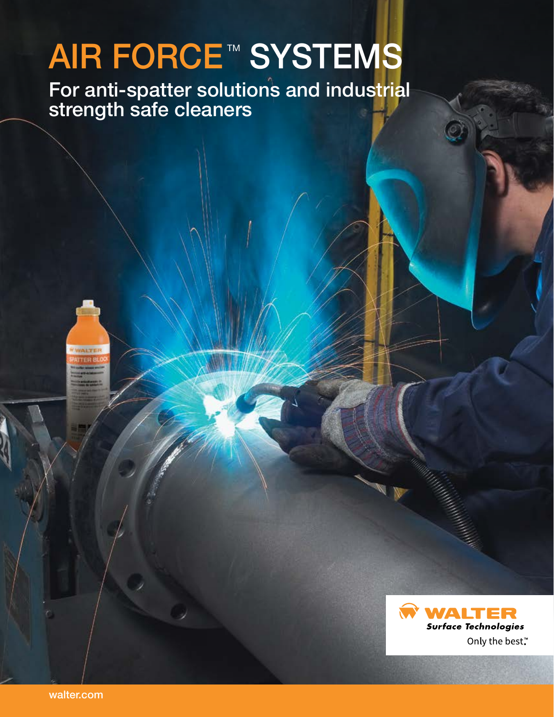# AIR FORCE™ SYSTEMS

 $\Lambda$ IS dilu III For anti-spatter solutions and industrial strength safe cleaners